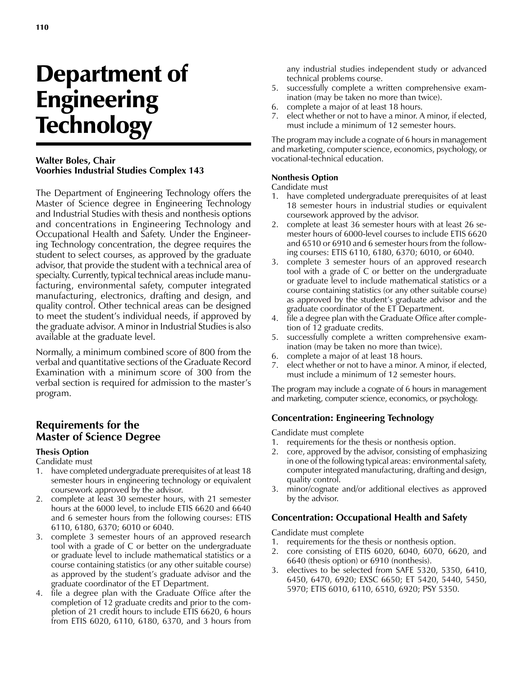# Department of Engineering **Technology**

#### **Walter Boles, Chair Voorhies Industrial Studies Complex 143**

The Department of Engineering Technology offers the Master of Science degree in Engineering Technology and Industrial Studies with thesis and nonthesis options and concentrations in Engineering Technology and Occupational Health and Safety. Under the Engineering Technology concentration, the degree requires the student to select courses, as approved by the graduate advisor, that provide the student with a technical area of specialty. Currently, typical technical areas include manufacturing, environmental safety, computer integrated manufacturing, electronics, drafting and design, and quality control. Other technical areas can be designed to meet the student's individual needs, if approved by the graduate advisor. A minor in Industrial Studies is also available at the graduate level.

Normally, a minimum combined score of 800 from the verbal and quantitative sections of the Graduate Record Examination with a minimum score of 300 from the verbal section is required for admission to the master's program.

## **Requirements for the Master of Science Degree**

#### **Thesis Option**

#### Candidate must

- 1. have completed undergraduate prerequisites of at least 18 semester hours in engineering technology or equivalent coursework approved by the advisor.
- 2. complete at least 30 semester hours, with 21 semester hours at the 6000 level, to include ETIS 6620 and 6640 and 6 semester hours from the following courses: ETIS 6110, 6180, 6370; 6010 or 6040.
- 3. complete 3 semester hours of an approved research tool with a grade of C or better on the undergraduate or graduate level to include mathematical statistics or a course containing statistics (or any other suitable course) as approved by the student's graduate advisor and the graduate coordinator of the ET Department.
- 4. file a degree plan with the Graduate Office after the completion of 12 graduate credits and prior to the completion of 21 credit hours to include ETIS 6620, 6 hours from ETIS 6020, 6110, 6180, 6370, and 3 hours from

any industrial studies independent study or advanced technical problems course.

- 5. successfully complete a written comprehensive examination (may be taken no more than twice).
- 6. complete a major of at least 18 hours.
- 7. elect whether or not to have a minor. A minor, if elected, must include a minimum of 12 semester hours.

The program may include a cognate of 6 hours in management and marketing, computer science, economics, psychology, or vocational-technical education.

#### **Nonthesis Option**

#### Candidate must

- 1. have completed undergraduate prerequisites of at least 18 semester hours in industrial studies or equivalent coursework approved by the advisor.
- 2. complete at least 36 semester hours with at least 26 semester hours of 6000-level courses to include ETIS 6620 and 6510 or 6910 and 6 semester hours from the following courses: ETIS 6110, 6180, 6370; 6010, or 6040.
- 3. complete 3 semester hours of an approved research tool with a grade of C or better on the undergraduate or graduate level to include mathematical statistics or a course containing statistics (or any other suitable course) as approved by the student's graduate advisor and the graduate coordinator of the ET Department.
- 4. file a degree plan with the Graduate Office after completion of 12 graduate credits.
- 5. successfully complete a written comprehensive examination (may be taken no more than twice).
- 6. complete a major of at least 18 hours.
- 7. elect whether or not to have a minor. A minor, if elected, must include a minimum of 12 semester hours.

The program may include a cognate of 6 hours in management and marketing, computer science, economics, or psychology.

#### **Concentration: Engineering Technology**

Candidate must complete

- 1. requirements for the thesis or nonthesis option.
- 2. core, approved by the advisor, consisting of emphasizing in one of the following typical areas: environmental safety, computer integrated manufacturing, drafting and design, quality control.
- 3. minor/cognate and/or additional electives as approved by the advisor.

#### **Concentration: Occupational Health and Safety**

Candidate must complete

- 1. requirements for the thesis or nonthesis option.
- 2. core consisting of ETIS 6020, 6040, 6070, 6620, and 6640 (thesis option) or 6910 (nonthesis).
- 3. electives to be selected from SAFE 5320, 5350, 6410, 6450, 6470, 6920; EXSC 6650; ET 5420, 5440, 5450, 5970; ETIS 6010, 6110, 6510, 6920; PSY 5350.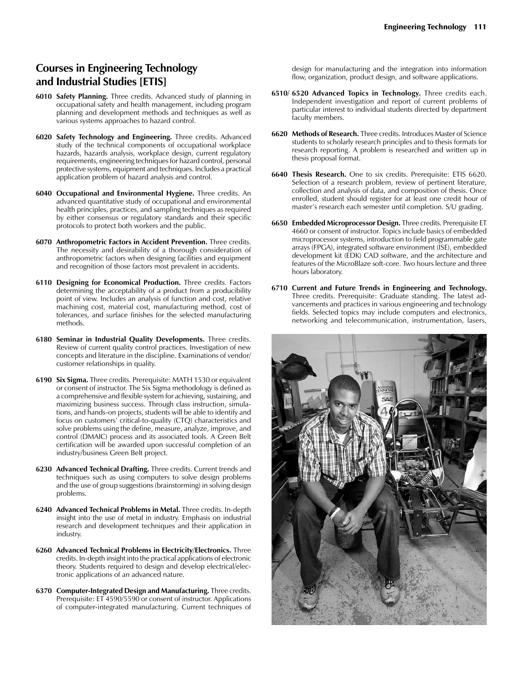# **Courses in Engineering Technology and Industrial Studies [ETIS]**

- **6010 Safety Planning.** Three credits. Advanced study of planning in occupational safety and health management, including program planning and development methods and techniques as well as various systems approaches to hazard control.
- **6020 Safety Technology and Engineering.** Three credits. Advanced study of the technical components of occupational workplace hazards, hazards analysis, workplace design, current regulatory requirements, engineering techniques for hazard control, personal protective systems, equipment and techniques. Includes a practical application problem of hazard analysis and control.
- **6040 Occupational and Environmental Hygiene.** Three credits. An advanced quantitative study of occupational and environmental health principles, practices, and sampling techniques as required by either consensus or regulatory standards and their specific protocols to protect both workers and the public.
- **6070 Anthropometric Factors in Accident Prevention.** Three credits. The necessity and desirability of a thorough consideration of anthropometric factors when designing facilities and equipment and recognition of those factors most prevalent in accidents.
- **6110 Designing for Economical Production.** Three credits. Factors determining the acceptability of a product from a producibility point of view. Includes an analysis of function and cost, relative machining cost, material cost, manufacturing method, cost of tolerances, and surface finishes for the selected manufacturing methods.
- **6180 Seminar in Industrial Quality Developments.** Three credits. Review of current quality control practices. Investigation of new concepts and literature in the discipline. Examinations of vendor/ customer relationships in quality.
- **6190 Six Sigma.** Three credits. Prerequisite: MATH 1530 or equivalent or consent of instructor. The Six Sigma methodology is defined as a comprehensive and flexible system for achieving, sustaining, and maximizing business success. Through class instruction, simulations, and hands-on projects, students will be able to identify and focus on customers' critical-to-quality (CTQ) characteristics and solve problems using the define, measure, analyze, improve, and control (DMAIC) process and its associated tools. A Green Belt certification will be awarded upon successful completion of an industry/business Green Belt project.
- **6230 Advanced Technical Drafting.** Three credits. Current trends and techniques such as using computers to solve design problems and the use of group suggestions (brainstorming) in solving design problems.
- **6240 Advanced Technical Problems in Metal.** Three credits. In-depth insight into the use of metal in industry. Emphasis on industrial research and development techniques and their application in industry.
- **6260 Advanced Technical Problems in Electricity/Electronics.** Three credits. In-depth insight into the practical applications of electronic theory. Students required to design and develop electrical/electronic applications of an advanced nature.
- **6370 Computer-Integrated Design and Manufacturing.** Three credits. Prerequisite: ET 4590/5590 or consent of instructor. Applications of computer-integrated manufacturing. Current techniques of

design for manufacturing and the integration into information flow, organization, product design, and software applications.

- **6510/ 6520 Advanced Topics in Technology.** Three credits each. Independent investigation and report of current problems of particular interest to individual students directed by department faculty members.
- **6620 Methods of Research.** Three credits. Introduces Master of Science students to scholarly research principles and to thesis formats for research reporting. A problem is researched and written up in thesis proposal format.
- **6640 Thesis Research.** One to six credits. Prerequisite: ETIS 6620. Selection of a research problem, review of pertinent literature, collection and analysis of data, and composition of thesis. Once enrolled, student should register for at least one credit hour of master's research each semester until completion. S/U grading.
- **6650 Embedded Microprocessor Design.** Three credits. Prerequisite ET 4660 or consent of instructor. Topics include basics of embedded microprocessor systems, introduction to field programmable gate arrays (FPGA), integrated software environment (ISE), embedded development kit (EDK) CAD software, and the architecture and features of the MicroBlaze soft-core. Two hours lecture and three hours laboratory.
- **6710 Current and Future Trends in Engineering and Technology.**  Three credits. Prerequisite: Graduate standing. The latest advancements and practices in various engineering and technology fields. Selected topics may include computers and electronics, networking and telecommunication, instrumentation, lasers,

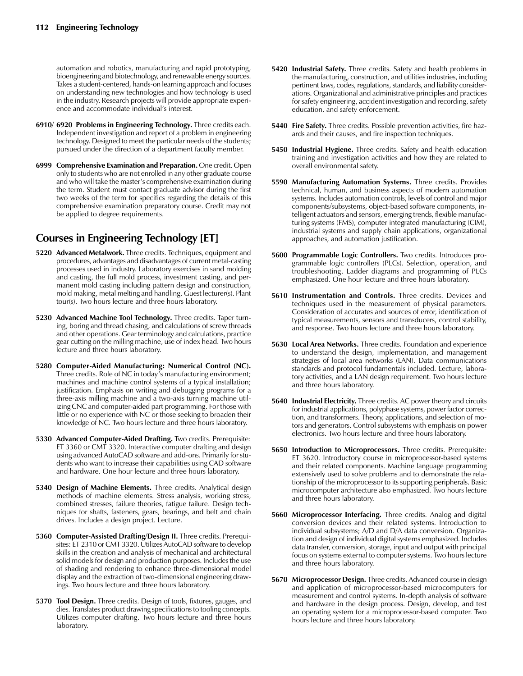automation and robotics, manufacturing and rapid prototyping, bioengineering and biotechnology, and renewable energy sources. Takes a student-centered, hands-on learning approach and focuses on understanding new technologies and how technology is used in the industry. Research projects will provide appropriate experience and accommodate individual's interest.

- **6910/ 6920 Problems in Engineering Technology.** Three credits each. Independent investigation and report of a problem in engineering technology. Designed to meet the particular needs of the students; pursued under the direction of a department faculty member.
- **6999 Comprehensive Examination and Preparation.** One credit. Open only to students who are not enrolled in any other graduate course and who will take the master's comprehensive examination during the term. Student must contact graduate advisor during the first two weeks of the term for specifics regarding the details of this comprehensive examination preparatory course. Credit may not be applied to degree requirements.

# **Courses in Engineering Technology [ET]**

- **5220 Advanced Metalwork.** Three credits. Techniques, equipment and procedures, advantages and disadvantages of current metal-casting processes used in industry. Laboratory exercises in sand molding and casting, the full mold process, investment casting, and permanent mold casting including pattern design and construction, mold making, metal melting and handling. Guest lecturer(s). Plant tour(s). Two hours lecture and three hours laboratory.
- **5230 Advanced Machine Tool Technology.** Three credits. Taper turning, boring and thread chasing, and calculations of screw threads and other operations. Gear terminology and calculations, practice gear cutting on the milling machine, use of index head. Two hours lecture and three hours laboratory.
- **5280 Computer-Aided Manufacturing: Numerical Control (NC).** Three credits. Role of NC in today's manufacturing environment; machines and machine control systems of a typical installation; justification. Emphasis on writing and debugging programs for a three-axis milling machine and a two-axis turning machine utilizing CNC and computer-aided part programming. For those with little or no experience with NC or those seeking to broaden their knowledge of NC. Two hours lecture and three hours laboratory.
- **5330 Advanced Computer-Aided Drafting.** Two credits. Prerequisite: ET 3360 or CMT 3320. Interactive computer drafting and design using advanced AutoCAD software and add-ons. Primarily for students who want to increase their capabilities using CAD software and hardware. One hour lecture and three hours laboratory.
- **5340 Design of Machine Elements.** Three credits. Analytical design methods of machine elements. Stress analysis, working stress, combined stresses, failure theories, fatigue failure. Design techniques for shafts, fasteners, gears, bearings, and belt and chain drives. Includes a design project. Lecture.
- **5360 Computer-Assisted Drafting/Design II.** Three credits. Prerequisites: ET 2310 or CMT 3320. Utilizes AutoCAD software to develop skills in the creation and analysis of mechanical and architectural solid models for design and production purposes. Includes the use of shading and rendering to enhance three-dimensional model display and the extraction of two-dimensional engineering drawings. Two hours lecture and three hours laboratory.
- **5370 Tool Design.** Three credits. Design of tools, fixtures, gauges, and dies. Translates product drawing specifications to tooling concepts. Utilizes computer drafting. Two hours lecture and three hours laboratory.
- **5420 Industrial Safety.** Three credits. Safety and health problems in the manufacturing, construction, and utilities industries, including pertinent laws, codes, regulations, standards, and liability considerations. Organizational and administrative principles and practices for safety engineering, accident investigation and recording, safety education, and safety enforcement.
- **5440 Fire Safety.** Three credits. Possible prevention activities, fire hazards and their causes, and fire inspection techniques.
- **5450 Industrial Hygiene.** Three credits. Safety and health education training and investigation activities and how they are related to overall environmental safety.
- **5590 Manufacturing Automation Systems.** Three credits. Provides technical, human, and business aspects of modern automation systems. Includes automation controls, levels of control and major components/subsystems, object-based software components, intelligent actuators and sensors, emerging trends, flexible manufacturing systems (FMS), computer integrated manufacturing (CIM), industrial systems and supply chain applications, organizational approaches, and automation justification.
- **5600 Programmable Logic Controllers.** Two credits. Introduces programmable logic controllers (PLCs). Selection, operation, and troubleshooting. Ladder diagrams and programming of PLCs emphasized. One hour lecture and three hours laboratory.
- **5610 Instrumentation and Controls.** Three credits. Devices and techniques used in the measurement of physical parameters. Consideration of accurates and sources of error, identification of typical measurements, sensors and transducers, control stability, and response. Two hours lecture and three hours laboratory.
- **5630 Local Area Networks.** Three credits. Foundation and experience to understand the design, implementation, and management strategies of local area networks (LAN). Data communications standards and protocol fundamentals included. Lecture, laboratory activities, and a LAN design requirement. Two hours lecture and three hours laboratory.
- **5640 Industrial Electricity.** Three credits. AC power theory and circuits for industrial applications, polyphase systems, power factor correction, and transformers. Theory, applications, and selection of motors and generators. Control subsystems with emphasis on power electronics. Two hours lecture and three hours laboratory.
- **5650 Introduction to Microprocessors.** Three credits. Prerequisite: ET 3620. Introductory course in microprocessor-based systems and their related components. Machine language programming extensively used to solve problems and to demonstrate the relationship of the microprocessor to its supporting peripherals. Basic microcomputer architecture also emphasized. Two hours lecture and three hours laboratory.
- **5660 Microprocessor Interfacing.** Three credits. Analog and digital conversion devices and their related systems. Introduction to individual subsystems; A/D and D/A data conversion. Organization and design of individual digital systems emphasized. Includes data transfer, conversion, storage, input and output with principal focus on systems external to computer systems. Two hours lecture and three hours laboratory.
- **5670 Microprocessor Design.** Three credits. Advanced course in design and application of microprocessor-based microcomputers for measurement and control systems. In-depth analysis of software and hardware in the design process. Design, develop, and test an operating system for a microprocessor-based computer. Two hours lecture and three hours laboratory.